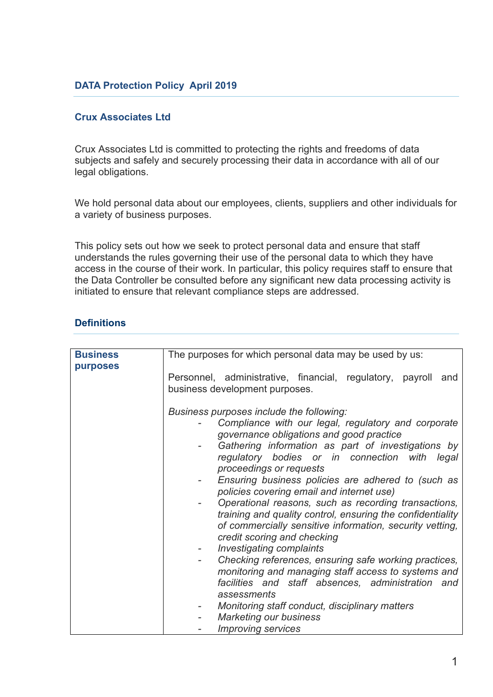## **DATA Protection Policy April 2019**

### **Crux Associates Ltd**

Crux Associates Ltd is committed to protecting the rights and freedoms of data subjects and safely and securely processing their data in accordance with all of our legal obligations.

We hold personal data about our employees, clients, suppliers and other individuals for a variety of business purposes.

This policy sets out how we seek to protect personal data and ensure that staff understands the rules governing their use of the personal data to which they have access in the course of their work. In particular, this policy requires staff to ensure that the Data Controller be consulted before any significant new data processing activity is initiated to ensure that relevant compliance steps are addressed.

## **Definitions**

| <b>Business</b><br>purposes | The purposes for which personal data may be used by us:                                                                                                                                                                                                                                                                                                                                                                                                                                                                                                                                                                       |  |  |
|-----------------------------|-------------------------------------------------------------------------------------------------------------------------------------------------------------------------------------------------------------------------------------------------------------------------------------------------------------------------------------------------------------------------------------------------------------------------------------------------------------------------------------------------------------------------------------------------------------------------------------------------------------------------------|--|--|
|                             | Personnel, administrative, financial, regulatory, payroll and<br>business development purposes.                                                                                                                                                                                                                                                                                                                                                                                                                                                                                                                               |  |  |
|                             | Business purposes include the following:<br>Compliance with our legal, regulatory and corporate<br>governance obligations and good practice<br>Gathering information as part of investigations by<br>regulatory bodies or in connection with legal<br>proceedings or requests<br>Ensuring business policies are adhered to (such as<br>policies covering email and internet use)<br>Operational reasons, such as recording transactions,<br>training and quality control, ensuring the confidentiality<br>of commercially sensitive information, security vetting,<br>credit scoring and checking<br>Investigating complaints |  |  |
|                             | Checking references, ensuring safe working practices,<br>monitoring and managing staff access to systems and<br>facilities and staff absences, administration and<br>assessments<br>Monitoring staff conduct, disciplinary matters<br><b>Marketing our business</b><br><b>Improving services</b>                                                                                                                                                                                                                                                                                                                              |  |  |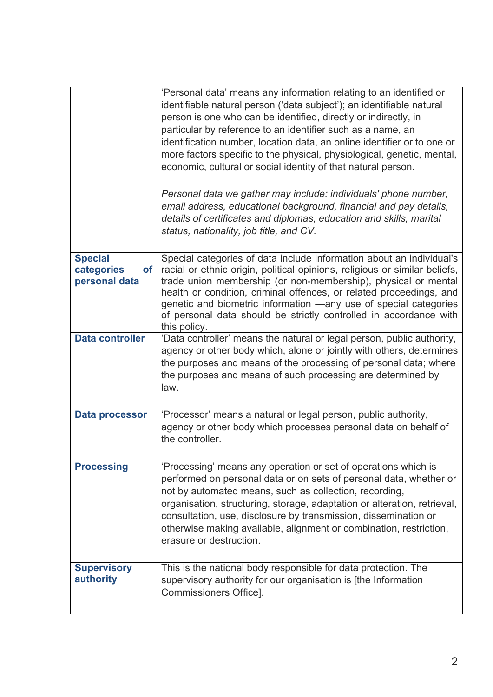|                                                            | 'Personal data' means any information relating to an identified or<br>identifiable natural person ('data subject'); an identifiable natural<br>person is one who can be identified, directly or indirectly, in<br>particular by reference to an identifier such as a name, an<br>identification number, location data, an online identifier or to one or<br>more factors specific to the physical, physiological, genetic, mental,<br>economic, cultural or social identity of that natural person. |
|------------------------------------------------------------|-----------------------------------------------------------------------------------------------------------------------------------------------------------------------------------------------------------------------------------------------------------------------------------------------------------------------------------------------------------------------------------------------------------------------------------------------------------------------------------------------------|
|                                                            | Personal data we gather may include: individuals' phone number,<br>email address, educational background, financial and pay details,<br>details of certificates and diplomas, education and skills, marital<br>status, nationality, job title, and CV.                                                                                                                                                                                                                                              |
| <b>Special</b><br>categories<br><b>of</b><br>personal data | Special categories of data include information about an individual's<br>racial or ethnic origin, political opinions, religious or similar beliefs,<br>trade union membership (or non-membership), physical or mental<br>health or condition, criminal offences, or related proceedings, and<br>genetic and biometric information -any use of special categories<br>of personal data should be strictly controlled in accordance with<br>this policy.                                                |
| <b>Data controller</b>                                     | 'Data controller' means the natural or legal person, public authority,<br>agency or other body which, alone or jointly with others, determines<br>the purposes and means of the processing of personal data; where<br>the purposes and means of such processing are determined by<br>law.                                                                                                                                                                                                           |
| <b>Data processor</b>                                      | 'Processor' means a natural or legal person, public authority,<br>agency or other body which processes personal data on behalf of<br>the controller.                                                                                                                                                                                                                                                                                                                                                |
| <b>Processing</b>                                          | 'Processing' means any operation or set of operations which is<br>performed on personal data or on sets of personal data, whether or<br>not by automated means, such as collection, recording,<br>organisation, structuring, storage, adaptation or alteration, retrieval,<br>consultation, use, disclosure by transmission, dissemination or<br>otherwise making available, alignment or combination, restriction,<br>erasure or destruction.                                                      |
| <b>Supervisory</b><br>authority                            | This is the national body responsible for data protection. The<br>supervisory authority for our organisation is [the Information<br>Commissioners Office].                                                                                                                                                                                                                                                                                                                                          |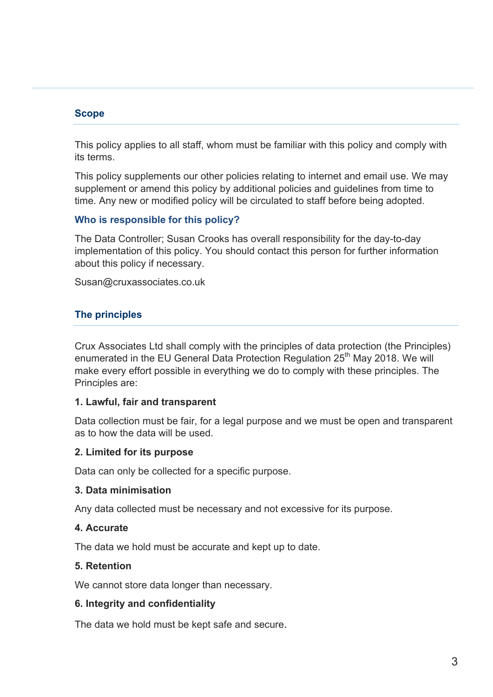### **Scope**

This policy applies to all staff, whom must be familiar with this policy and comply with its terms.

This policy supplements our other policies relating to internet and email use. We may supplement or amend this policy by additional policies and guidelines from time to time. Any new or modified policy will be circulated to staff before being adopted.

### **Who is responsible for this policy?**

The Data Controller; Susan Crooks has overall responsibility for the day-to-day implementation of this policy. You should contact this person for further information about this policy if necessary.

Susan@cruxassociates.co.uk

# **The principles**

Crux Associates Ltd shall comply with the principles of data protection (the Principles) enumerated in the EU General Data Protection Regulation 25<sup>th</sup> May 2018. We will make every effort possible in everything we do to comply with these principles. The Principles are:

### **1. Lawful, fair and transparent**

Data collection must be fair, for a legal purpose and we must be open and transparent as to how the data will be used.

## **2. Limited for its purpose**

Data can only be collected for a specific purpose.

### **3. Data minimisation**

Any data collected must be necessary and not excessive for its purpose.

### **4. Accurate**

The data we hold must be accurate and kept up to date.

### **5. Retention**

We cannot store data longer than necessary.

### **6. Integrity and confidentiality**

The data we hold must be kept safe and secure.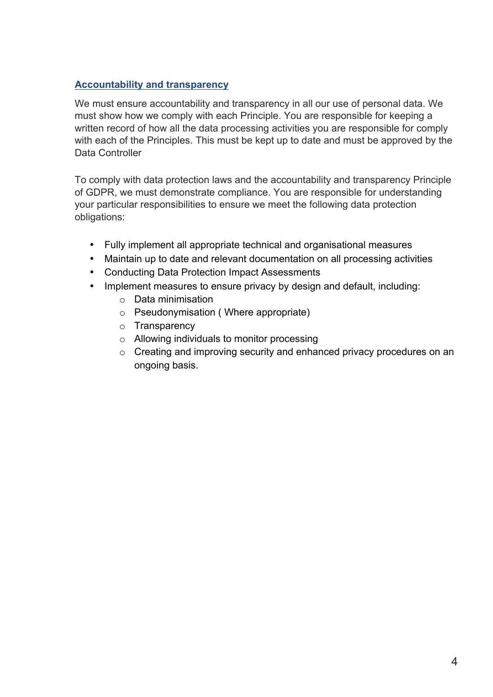# **Accountability and transparency**

We must ensure accountability and transparency in all our use of personal data. We must show how we comply with each Principle. You are responsible for keeping a written record of how all the data processing activities you are responsible for comply with each of the Principles. This must be kept up to date and must be approved by the Data Controller

To comply with data protection laws and the accountability and transparency Principle of GDPR, we must demonstrate compliance. You are responsible for understanding your particular responsibilities to ensure we meet the following data protection obligations:

- Fully implement all appropriate technical and organisational measures
- Maintain up to date and relevant documentation on all processing activities
- Conducting Data Protection Impact Assessments
- Implement measures to ensure privacy by design and default, including:
	- o Data minimisation
	- o Pseudonymisation ( Where appropriate)
	- o Transparency
	- o Allowing individuals to monitor processing
	- o Creating and improving security and enhanced privacy procedures on an ongoing basis.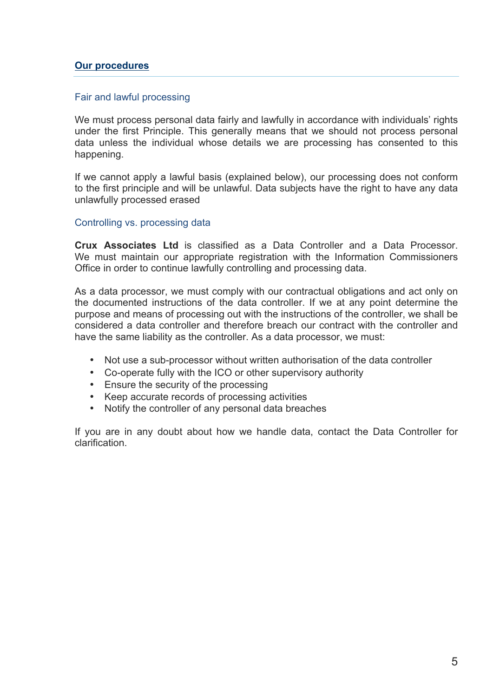#### **Our procedures**

#### Fair and lawful processing

We must process personal data fairly and lawfully in accordance with individuals' rights under the first Principle. This generally means that we should not process personal data unless the individual whose details we are processing has consented to this happening.

If we cannot apply a lawful basis (explained below), our processing does not conform to the first principle and will be unlawful. Data subjects have the right to have any data unlawfully processed erased

#### Controlling vs. processing data

**Crux Associates Ltd** is classified as a Data Controller and a Data Processor. We must maintain our appropriate registration with the Information Commissioners Office in order to continue lawfully controlling and processing data.

As a data processor, we must comply with our contractual obligations and act only on the documented instructions of the data controller. If we at any point determine the purpose and means of processing out with the instructions of the controller, we shall be considered a data controller and therefore breach our contract with the controller and have the same liability as the controller. As a data processor, we must:

- Not use a sub-processor without written authorisation of the data controller
- Co-operate fully with the ICO or other supervisory authority
- Ensure the security of the processing
- Keep accurate records of processing activities
- Notify the controller of any personal data breaches

If you are in any doubt about how we handle data, contact the Data Controller for clarification.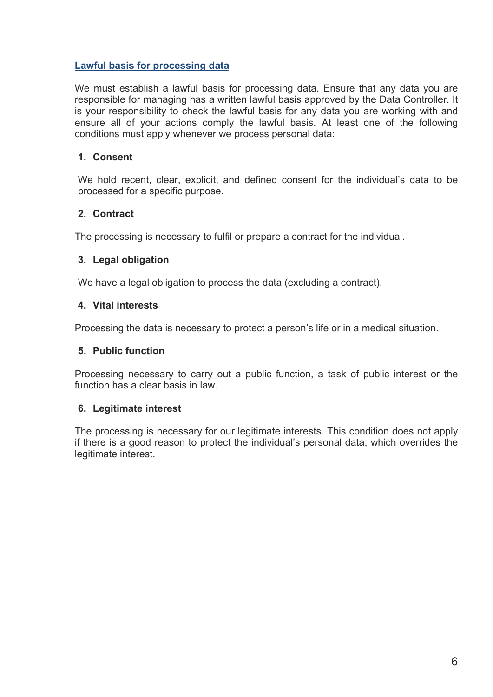## **Lawful basis for processing data**

We must establish a lawful basis for processing data. Ensure that any data you are responsible for managing has a written lawful basis approved by the Data Controller. It is your responsibility to check the lawful basis for any data you are working with and ensure all of your actions comply the lawful basis. At least one of the following conditions must apply whenever we process personal data:

## **1. Consent**

We hold recent, clear, explicit, and defined consent for the individual's data to be processed for a specific purpose.

## **2. Contract**

The processing is necessary to fulfil or prepare a contract for the individual.

## **3. Legal obligation**

We have a legal obligation to process the data (excluding a contract).

# **4. Vital interests**

Processing the data is necessary to protect a person's life or in a medical situation.

## **5. Public function**

Processing necessary to carry out a public function, a task of public interest or the function has a clear basis in law.

## **6. Legitimate interest**

The processing is necessary for our legitimate interests. This condition does not apply if there is a good reason to protect the individual's personal data; which overrides the legitimate interest.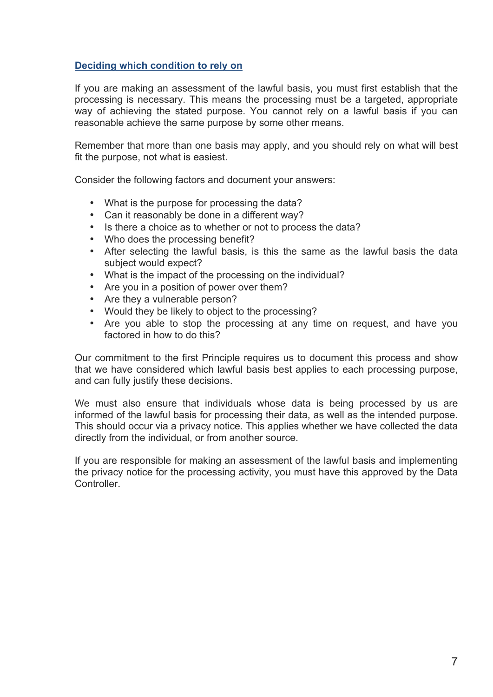### **Deciding which condition to rely on**

If you are making an assessment of the lawful basis, you must first establish that the processing is necessary. This means the processing must be a targeted, appropriate way of achieving the stated purpose. You cannot rely on a lawful basis if you can reasonable achieve the same purpose by some other means.

Remember that more than one basis may apply, and you should rely on what will best fit the purpose, not what is easiest.

Consider the following factors and document your answers:

- What is the purpose for processing the data?
- Can it reasonably be done in a different way?
- Is there a choice as to whether or not to process the data?
- Who does the processing benefit?
- After selecting the lawful basis, is this the same as the lawful basis the data subject would expect?
- What is the impact of the processing on the individual?
- Are you in a position of power over them?
- Are they a vulnerable person?
- Would they be likely to object to the processing?
- Are you able to stop the processing at any time on request, and have you factored in how to do this?

Our commitment to the first Principle requires us to document this process and show that we have considered which lawful basis best applies to each processing purpose, and can fully justify these decisions.

We must also ensure that individuals whose data is being processed by us are informed of the lawful basis for processing their data, as well as the intended purpose. This should occur via a privacy notice. This applies whether we have collected the data directly from the individual, or from another source.

If you are responsible for making an assessment of the lawful basis and implementing the privacy notice for the processing activity, you must have this approved by the Data Controller.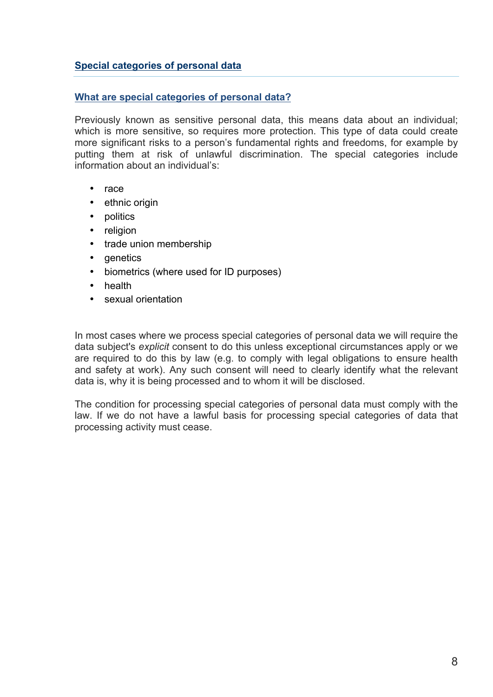### **Special categories of personal data**

### **What are special categories of personal data?**

Previously known as sensitive personal data, this means data about an individual; which is more sensitive, so requires more protection. This type of data could create more significant risks to a person's fundamental rights and freedoms, for example by putting them at risk of unlawful discrimination. The special categories include information about an individual's:

- race
- ethnic origin
- politics
- religion
- trade union membership
- **genetics**
- biometrics (where used for ID purposes)
- health
- sexual orientation

In most cases where we process special categories of personal data we will require the data subject's *explicit* consent to do this unless exceptional circumstances apply or we are required to do this by law (e.g. to comply with legal obligations to ensure health and safety at work). Any such consent will need to clearly identify what the relevant data is, why it is being processed and to whom it will be disclosed.

The condition for processing special categories of personal data must comply with the law. If we do not have a lawful basis for processing special categories of data that processing activity must cease.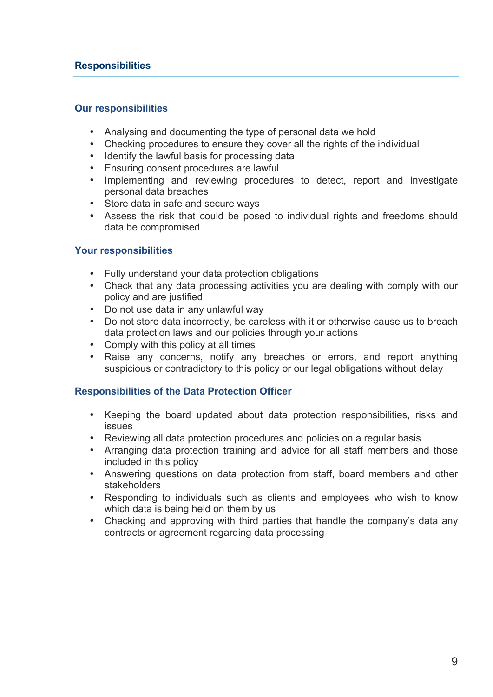### **Responsibilities**

#### **Our responsibilities**

- Analysing and documenting the type of personal data we hold
- Checking procedures to ensure they cover all the rights of the individual
- Identify the lawful basis for processing data
- Ensuring consent procedures are lawful<br>• Implementing and reviewing procedui
- Implementing and reviewing procedures to detect, report and investigate personal data breaches
- Store data in safe and secure ways
- Assess the risk that could be posed to individual rights and freedoms should data be compromised

### **Your responsibilities**

- Fully understand your data protection obligations
- Check that any data processing activities you are dealing with comply with our policy and are justified
- Do not use data in any unlawful way
- Do not store data incorrectly, be careless with it or otherwise cause us to breach data protection laws and our policies through your actions
- Comply with this policy at all times
- Raise any concerns, notify any breaches or errors, and report anything suspicious or contradictory to this policy or our legal obligations without delay

### **Responsibilities of the Data Protection Officer**

- Keeping the board updated about data protection responsibilities, risks and issues
- Reviewing all data protection procedures and policies on a regular basis
- Arranging data protection training and advice for all staff members and those included in this policy
- Answering questions on data protection from staff, board members and other stakeholders
- Responding to individuals such as clients and employees who wish to know which data is being held on them by us
- Checking and approving with third parties that handle the company's data any contracts or agreement regarding data processing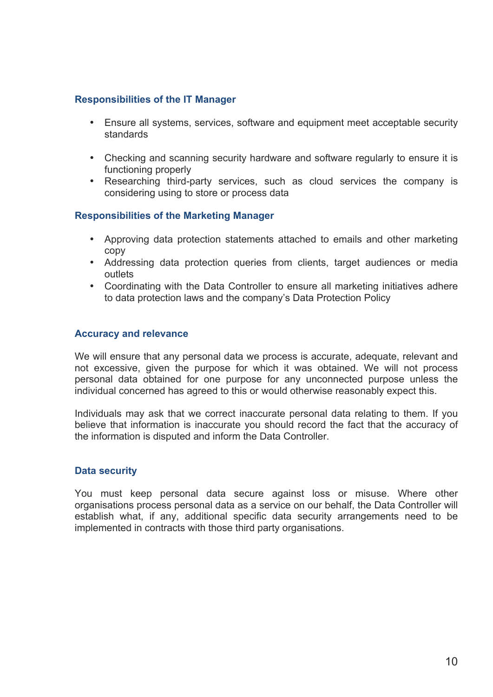### **Responsibilities of the IT Manager**

- Ensure all systems, services, software and equipment meet acceptable security standards
- Checking and scanning security hardware and software regularly to ensure it is functioning properly
- Researching third-party services, such as cloud services the company is considering using to store or process data

### **Responsibilities of the Marketing Manager**

- Approving data protection statements attached to emails and other marketing copy
- Addressing data protection queries from clients, target audiences or media outlets
- Coordinating with the Data Controller to ensure all marketing initiatives adhere to data protection laws and the company's Data Protection Policy

### **Accuracy and relevance**

We will ensure that any personal data we process is accurate, adequate, relevant and not excessive, given the purpose for which it was obtained. We will not process personal data obtained for one purpose for any unconnected purpose unless the individual concerned has agreed to this or would otherwise reasonably expect this.

Individuals may ask that we correct inaccurate personal data relating to them. If you believe that information is inaccurate you should record the fact that the accuracy of the information is disputed and inform the Data Controller.

### **Data security**

You must keep personal data secure against loss or misuse. Where other organisations process personal data as a service on our behalf, the Data Controller will establish what, if any, additional specific data security arrangements need to be implemented in contracts with those third party organisations.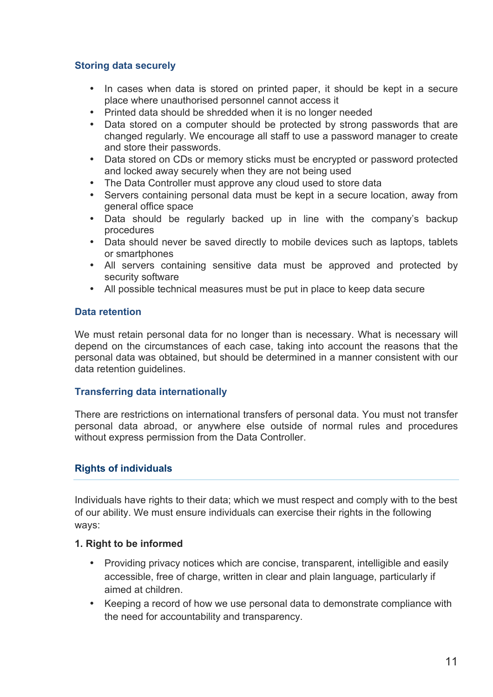### **Storing data securely**

- In cases when data is stored on printed paper, it should be kept in a secure place where unauthorised personnel cannot access it
- Printed data should be shredded when it is no longer needed
- Data stored on a computer should be protected by strong passwords that are changed regularly. We encourage all staff to use a password manager to create and store their passwords.
- Data stored on CDs or memory sticks must be encrypted or password protected and locked away securely when they are not being used
- The Data Controller must approve any cloud used to store data
- Servers containing personal data must be kept in a secure location, away from general office space
- Data should be regularly backed up in line with the company's backup procedures
- Data should never be saved directly to mobile devices such as laptops, tablets or smartphones
- All servers containing sensitive data must be approved and protected by security software
- All possible technical measures must be put in place to keep data secure

### **Data retention**

We must retain personal data for no longer than is necessary. What is necessary will depend on the circumstances of each case, taking into account the reasons that the personal data was obtained, but should be determined in a manner consistent with our data retention guidelines.

## **Transferring data internationally**

There are restrictions on international transfers of personal data. You must not transfer personal data abroad, or anywhere else outside of normal rules and procedures without express permission from the Data Controller.

## **Rights of individuals**

Individuals have rights to their data; which we must respect and comply with to the best of our ability. We must ensure individuals can exercise their rights in the following ways:

### **1. Right to be informed**

- Providing privacy notices which are concise, transparent, intelligible and easily accessible, free of charge, written in clear and plain language, particularly if aimed at children.
- Keeping a record of how we use personal data to demonstrate compliance with the need for accountability and transparency.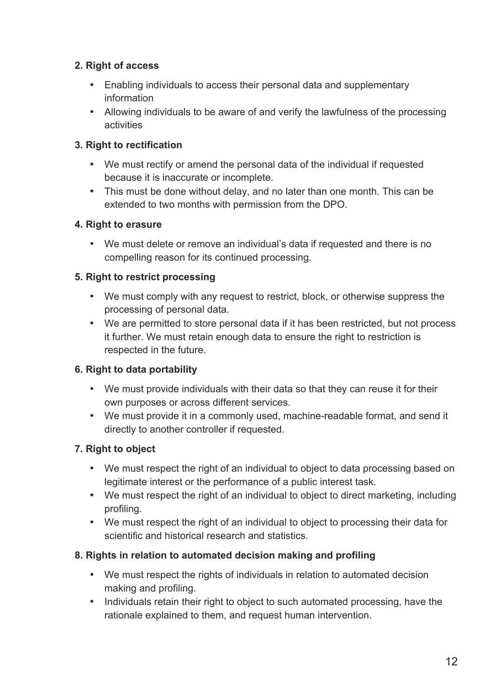# **2. Right of access**

- Enabling individuals to access their personal data and supplementary information
- Allowing individuals to be aware of and verify the lawfulness of the processing activities

# **3. Right to rectification**

- We must rectify or amend the personal data of the individual if requested because it is inaccurate or incomplete.
- This must be done without delay, and no later than one month. This can be extended to two months with permission from the DPO.

# **4. Right to erasure**

• We must delete or remove an individual's data if requested and there is no compelling reason for its continued processing.

# **5. Right to restrict processing**

- We must comply with any request to restrict, block, or otherwise suppress the processing of personal data.
- We are permitted to store personal data if it has been restricted, but not process it further. We must retain enough data to ensure the right to restriction is respected in the future.

# **6. Right to data portability**

- We must provide individuals with their data so that they can reuse it for their own purposes or across different services.
- We must provide it in a commonly used, machine-readable format, and send it directly to another controller if requested.

# **7. Right to object**

- We must respect the right of an individual to object to data processing based on legitimate interest or the performance of a public interest task.
- We must respect the right of an individual to object to direct marketing, including profiling.
- We must respect the right of an individual to object to processing their data for scientific and historical research and statistics.

# **8. Rights in relation to automated decision making and profiling**

- We must respect the rights of individuals in relation to automated decision making and profiling.
- Individuals retain their right to object to such automated processing, have the rationale explained to them, and request human intervention.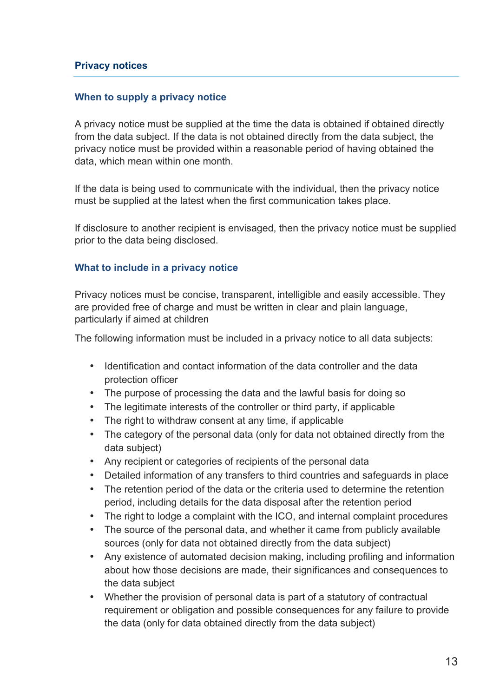### **When to supply a privacy notice**

A privacy notice must be supplied at the time the data is obtained if obtained directly from the data subject. If the data is not obtained directly from the data subject, the privacy notice must be provided within a reasonable period of having obtained the data, which mean within one month.

If the data is being used to communicate with the individual, then the privacy notice must be supplied at the latest when the first communication takes place.

If disclosure to another recipient is envisaged, then the privacy notice must be supplied prior to the data being disclosed.

### **What to include in a privacy notice**

Privacy notices must be concise, transparent, intelligible and easily accessible. They are provided free of charge and must be written in clear and plain language, particularly if aimed at children

The following information must be included in a privacy notice to all data subjects:

- Identification and contact information of the data controller and the data protection officer
- The purpose of processing the data and the lawful basis for doing so
- The legitimate interests of the controller or third party, if applicable
- The right to withdraw consent at any time, if applicable
- The category of the personal data (only for data not obtained directly from the data subject)
- Any recipient or categories of recipients of the personal data
- Detailed information of any transfers to third countries and safeguards in place
- The retention period of the data or the criteria used to determine the retention period, including details for the data disposal after the retention period
- The right to lodge a complaint with the ICO, and internal complaint procedures
- The source of the personal data, and whether it came from publicly available sources (only for data not obtained directly from the data subject)
- Any existence of automated decision making, including profiling and information about how those decisions are made, their significances and consequences to the data subject
- Whether the provision of personal data is part of a statutory of contractual requirement or obligation and possible consequences for any failure to provide the data (only for data obtained directly from the data subject)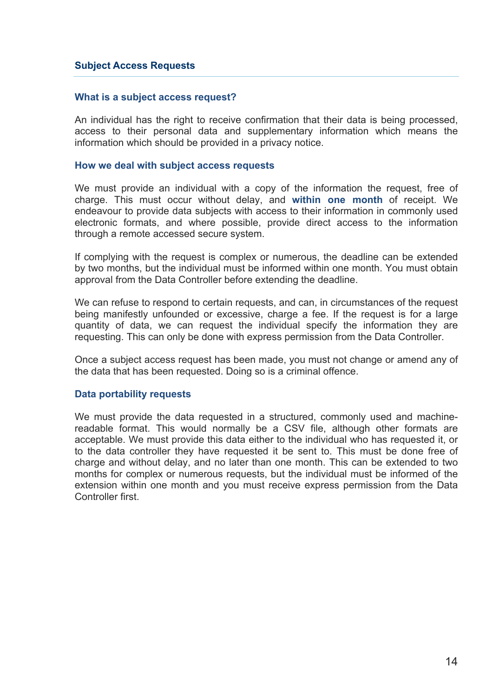#### **Subject Access Requests**

#### **What is a subject access request?**

An individual has the right to receive confirmation that their data is being processed, access to their personal data and supplementary information which means the information which should be provided in a privacy notice.

#### **How we deal with subject access requests**

We must provide an individual with a copy of the information the request, free of charge. This must occur without delay, and **within one month** of receipt. We endeavour to provide data subjects with access to their information in commonly used electronic formats, and where possible, provide direct access to the information through a remote accessed secure system.

If complying with the request is complex or numerous, the deadline can be extended by two months, but the individual must be informed within one month. You must obtain approval from the Data Controller before extending the deadline.

We can refuse to respond to certain requests, and can, in circumstances of the request being manifestly unfounded or excessive, charge a fee. If the request is for a large quantity of data, we can request the individual specify the information they are requesting. This can only be done with express permission from the Data Controller.

Once a subject access request has been made, you must not change or amend any of the data that has been requested. Doing so is a criminal offence.

#### **Data portability requests**

We must provide the data requested in a structured, commonly used and machinereadable format. This would normally be a CSV file, although other formats are acceptable. We must provide this data either to the individual who has requested it, or to the data controller they have requested it be sent to. This must be done free of charge and without delay, and no later than one month. This can be extended to two months for complex or numerous requests, but the individual must be informed of the extension within one month and you must receive express permission from the Data Controller first.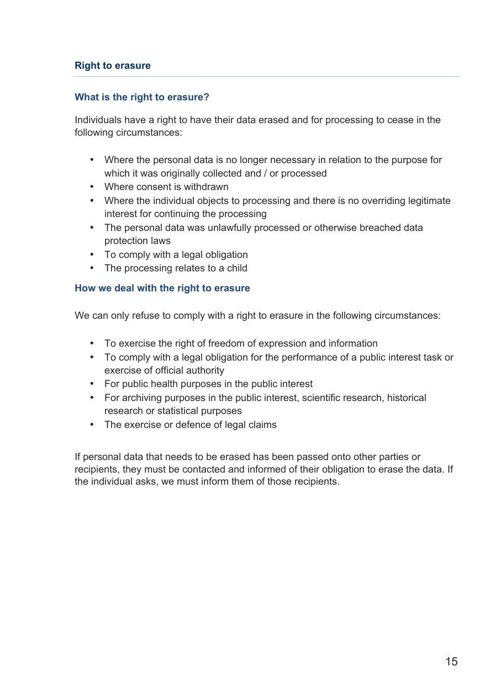## **Right to erasure**

### **What is the right to erasure?**

Individuals have a right to have their data erased and for processing to cease in the following circumstances:

- Where the personal data is no longer necessary in relation to the purpose for which it was originally collected and / or processed
- Where consent is withdrawn
- Where the individual objects to processing and there is no overriding legitimate interest for continuing the processing
- The personal data was unlawfully processed or otherwise breached data protection laws
- To comply with a legal obligation
- The processing relates to a child

### **How we deal with the right to erasure**

We can only refuse to comply with a right to erasure in the following circumstances:

- To exercise the right of freedom of expression and information
- To comply with a legal obligation for the performance of a public interest task or exercise of official authority
- For public health purposes in the public interest
- For archiving purposes in the public interest, scientific research, historical research or statistical purposes
- The exercise or defence of legal claims

If personal data that needs to be erased has been passed onto other parties or recipients, they must be contacted and informed of their obligation to erase the data. If the individual asks, we must inform them of those recipients.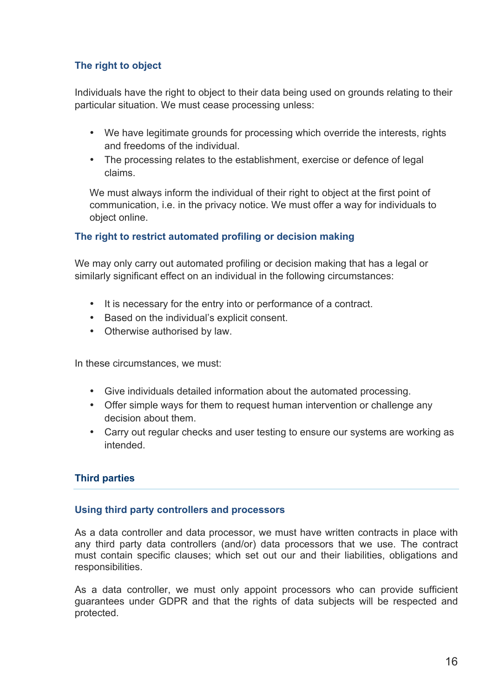# **The right to object**

Individuals have the right to object to their data being used on grounds relating to their particular situation. We must cease processing unless:

- We have legitimate grounds for processing which override the interests, rights and freedoms of the individual.
- The processing relates to the establishment, exercise or defence of legal claims.

We must always inform the individual of their right to object at the first point of communication, i.e. in the privacy notice. We must offer a way for individuals to object online.

# **The right to restrict automated profiling or decision making**

We may only carry out automated profiling or decision making that has a legal or similarly significant effect on an individual in the following circumstances:

- It is necessary for the entry into or performance of a contract.
- Based on the individual's explicit consent.
- Otherwise authorised by law.

In these circumstances, we must:

- Give individuals detailed information about the automated processing.
- Offer simple ways for them to request human intervention or challenge any decision about them.
- Carry out regular checks and user testing to ensure our systems are working as intended.

## **Third parties**

## **Using third party controllers and processors**

As a data controller and data processor, we must have written contracts in place with any third party data controllers (and/or) data processors that we use. The contract must contain specific clauses; which set out our and their liabilities, obligations and responsibilities.

As a data controller, we must only appoint processors who can provide sufficient guarantees under GDPR and that the rights of data subjects will be respected and protected.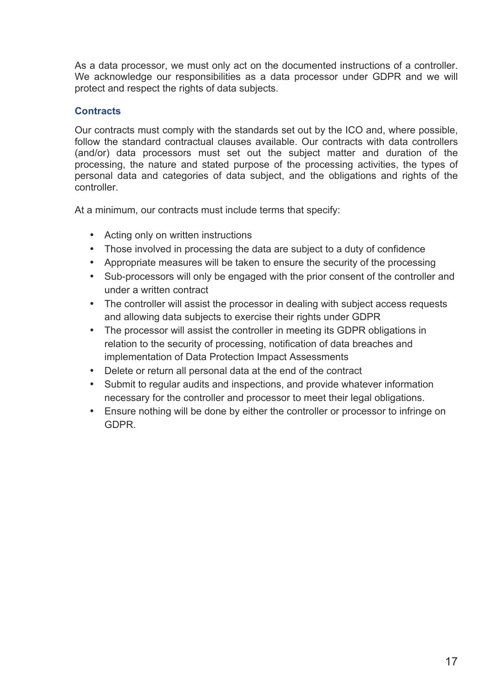As a data processor, we must only act on the documented instructions of a controller. We acknowledge our responsibilities as a data processor under GDPR and we will protect and respect the rights of data subjects.

## **Contracts**

Our contracts must comply with the standards set out by the ICO and, where possible, follow the standard contractual clauses available. Our contracts with data controllers (and/or) data processors must set out the subject matter and duration of the processing, the nature and stated purpose of the processing activities, the types of personal data and categories of data subject, and the obligations and rights of the controller.

At a minimum, our contracts must include terms that specify:

- Acting only on written instructions
- Those involved in processing the data are subject to a duty of confidence
- Appropriate measures will be taken to ensure the security of the processing
- Sub-processors will only be engaged with the prior consent of the controller and under a written contract
- The controller will assist the processor in dealing with subject access requests and allowing data subjects to exercise their rights under GDPR
- The processor will assist the controller in meeting its GDPR obligations in relation to the security of processing, notification of data breaches and implementation of Data Protection Impact Assessments
- Delete or return all personal data at the end of the contract
- Submit to regular audits and inspections, and provide whatever information necessary for the controller and processor to meet their legal obligations.
- Ensure nothing will be done by either the controller or processor to infringe on GDPR.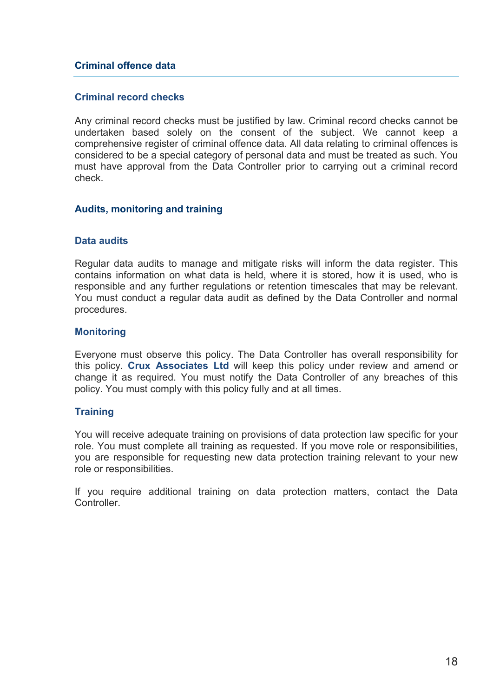### **Criminal offence data**

#### **Criminal record checks**

Any criminal record checks must be justified by law. Criminal record checks cannot be undertaken based solely on the consent of the subject. We cannot keep a comprehensive register of criminal offence data. All data relating to criminal offences is considered to be a special category of personal data and must be treated as such. You must have approval from the Data Controller prior to carrying out a criminal record check.

#### **Audits, monitoring and training**

#### **Data audits**

Regular data audits to manage and mitigate risks will inform the data register. This contains information on what data is held, where it is stored, how it is used, who is responsible and any further regulations or retention timescales that may be relevant. You must conduct a regular data audit as defined by the Data Controller and normal procedures.

#### **Monitoring**

Everyone must observe this policy. The Data Controller has overall responsibility for this policy. **Crux Associates Ltd** will keep this policy under review and amend or change it as required. You must notify the Data Controller of any breaches of this policy. You must comply with this policy fully and at all times.

#### **Training**

You will receive adequate training on provisions of data protection law specific for your role. You must complete all training as requested. If you move role or responsibilities, you are responsible for requesting new data protection training relevant to your new role or responsibilities.

If you require additional training on data protection matters, contact the Data **Controller**